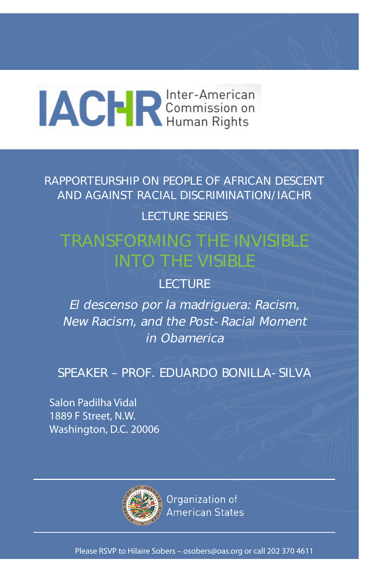# **ACRE** Commission on

RAPPORTEURSHIP ON PEOPLE OF AFRICAN DESCENT AND AGAINST RACIAL DISCRIMINATION/IACHR

## LECTURE SERIES

## TRANSFORMING THE INVISIBLE INTO THE VISIBLE

## LECTURE

El descenso por la madriguera: Racism, New Racism, and the Post-Racial Moment in Obamerica

## SPEAKER – PROF. EDUARDO BONILLA-SILVA

Salon Padilha Vidal 1889 F Street, N.W. Washington, D.C. 20006



Organization of **American States** 

Please RSVP to Hilaire Sobers – osobers@oas.org or call 202 370 4611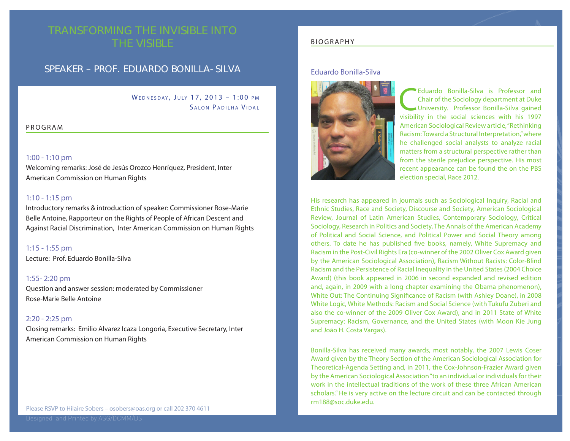## TRANSFORMING THE INVISIBLE INTO THE VISIBLE

### SPEAKER – PROF. EDUARDO BONILLA-SILVA

WEDNESDAY, JULY 17, 2013 - 1:00 PM SALON PADILHA VIDAL

#### PROGRAM

#### 1:00 - 1:10 pm

Welcoming remarks: José de Jesús Orozco Henríquez, President, Inter American Commission on Human Rights

#### 1:10 - 1:15 pm

Introductory remarks & introduction of speaker: Commissioner Rose-Marie Belle Antoine, Rapporteur on the Rights of People of African Descent and Against Racial Discrimination, Inter American Commission on Human Rights

1:15 - 1:55 pm

Lecture: Prof. Eduardo Bonilla-Silva

#### 1:55- 2:20 pm

Question and answer session: moderated by Commissioner Rose-Marie Belle Antoine

#### 2:20 - 2:25 pm

Closing remarks: Emilio Alvarez Icaza Longoria, Executive Secretary, Inter American Commission on Human Rights

#### BIOGRAPHY

#### Eduardo Bonilla-Silva



Eduardo Bonilla-Silva is Professor and<br>Chair of the Sociology department at Duke<br>University. Professor Bonilla-Silva gained<br>Visibility in the social sciences with bis 1997 Chair of the Sociology department at Duke University. Professor Bonilla-Silva gained visibility in the social sciences with his 1997 American Sociological Review article, "Rethinking Racism: Toward a Structural Interpretation," where he challenged social analysts to analyze racial matters from a structural perspective rather than from the sterile prejudice perspective. His most recent appearance can be found the on the PBS election special, Race 2012.

His research has appeared in journals such as Sociological Inquiry, Racial and Ethnic Studies, Race and Society, Discourse and Society, American Sociological Review, Journal of Latin American Studies, Contemporary Sociology, Critical Sociology, Research in Politics and Society, The Annals of the American Academy of Political and Social Science, and Political Power and Social Theory among others. To date he has published five books, namely, White Supremacy and Racism in the Post-Civil Rights Era (co-winner of the 2002 Oliver Cox Award given by the American Sociological Association), Racism Without Racists: Color-Blind Racism and the Persistence of Racial Inequality in the United States (2004 Choice Award) (this book appeared in 2006 in second expanded and revised edition and, again, in 2009 with a long chapter examining the Obama phenomenon), White Out: The Continuing Significance of Racism (with Ashley Doane), in 2008 White Logic, White Methods: Racism and Social Science (with Tukufu Zuberi and also the co-winner of the 2009 Oliver Cox Award), and in 2011 State of White Supremacy: Racism, Governance, and the United States (with Moon Kie Jung and João H. Costa Vargas).

Bonilla-Silva has received many awards, most notably, the 2007 Lewis Coser Award given by the Theory Section of the American Sociological Association for Theoretical-Agenda Setting and, in 2011, the Cox-Johnson-Frazier Award given by the American Sociological Association "to an individual or individuals for their work in the intellectual traditions of the work of these three African American scholars." He is very active on the lecture circuit and can be contacted through rm188@soc.duke.edu.